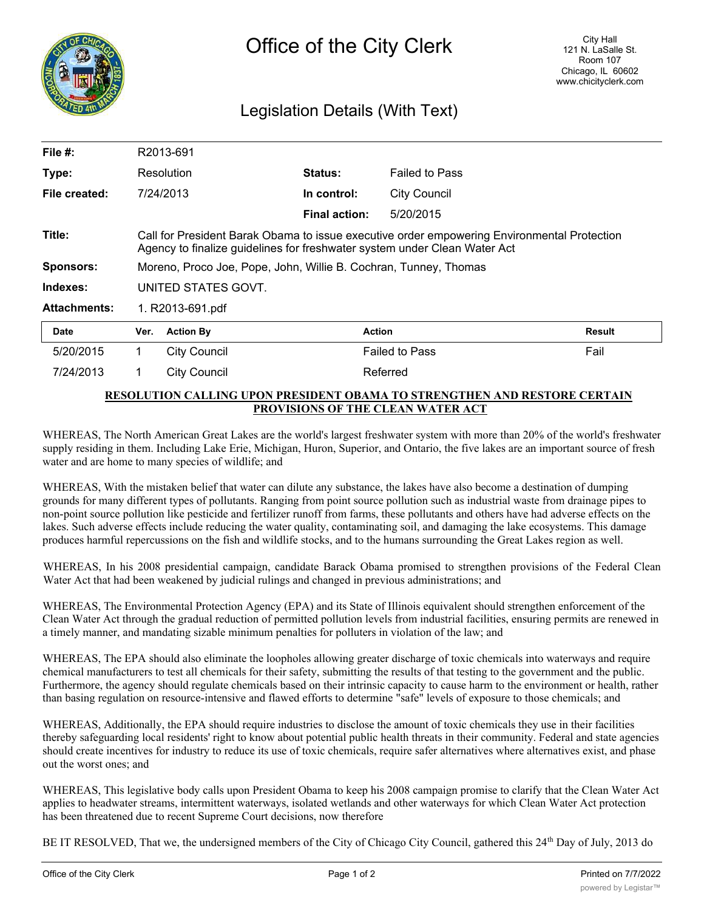

## Legislation Details (With Text)

| File $#$ :          | R2013-691                                                                                                                                                                |                     |                      |                       |               |
|---------------------|--------------------------------------------------------------------------------------------------------------------------------------------------------------------------|---------------------|----------------------|-----------------------|---------------|
| Type:               | Resolution                                                                                                                                                               |                     | <b>Status:</b>       | <b>Failed to Pass</b> |               |
| File created:       |                                                                                                                                                                          | 7/24/2013           | In control:          | <b>City Council</b>   |               |
|                     |                                                                                                                                                                          |                     | <b>Final action:</b> | 5/20/2015             |               |
| Title:              | Call for President Barak Obama to issue executive order empowering Environmental Protection<br>Agency to finalize guidelines for freshwater system under Clean Water Act |                     |                      |                       |               |
| <b>Sponsors:</b>    | Moreno, Proco Joe, Pope, John, Willie B. Cochran, Tunney, Thomas                                                                                                         |                     |                      |                       |               |
| Indexes:            | UNITED STATES GOVT.                                                                                                                                                      |                     |                      |                       |               |
| <b>Attachments:</b> | 1. R2013-691.pdf                                                                                                                                                         |                     |                      |                       |               |
| <b>Date</b>         | Ver.                                                                                                                                                                     | <b>Action By</b>    | <b>Action</b>        |                       | <b>Result</b> |
| 5/20/2015           | 1                                                                                                                                                                        | <b>City Council</b> |                      | <b>Failed to Pass</b> | Fail          |
| 7/24/2013           | 1                                                                                                                                                                        | City Council        |                      | Referred              |               |
|                     |                                                                                                                                                                          |                     |                      |                       |               |

## **RESOLUTION CALLING UPON PRESIDENT OBAMA TO STRENGTHEN AND RESTORE CERTAIN PROVISIONS OF THE CLEAN WATER ACT**

WHEREAS, The North American Great Lakes are the world's largest freshwater system with more than 20% of the world's freshwater supply residing in them. Including Lake Erie, Michigan, Huron, Superior, and Ontario, the five lakes are an important source of fresh water and are home to many species of wildlife; and

WHEREAS, With the mistaken belief that water can dilute any substance, the lakes have also become a destination of dumping grounds for many different types of pollutants. Ranging from point source pollution such as industrial waste from drainage pipes to non-point source pollution like pesticide and fertilizer runoff from farms, these pollutants and others have had adverse effects on the lakes. Such adverse effects include reducing the water quality, contaminating soil, and damaging the lake ecosystems. This damage produces harmful repercussions on the fish and wildlife stocks, and to the humans surrounding the Great Lakes region as well.

WHEREAS, In his 2008 presidential campaign, candidate Barack Obama promised to strengthen provisions of the Federal Clean Water Act that had been weakened by judicial rulings and changed in previous administrations; and

WHEREAS, The Environmental Protection Agency (EPA) and its State of Illinois equivalent should strengthen enforcement of the Clean Water Act through the gradual reduction of permitted pollution levels from industrial facilities, ensuring permits are renewed in a timely manner, and mandating sizable minimum penalties for polluters in violation of the law; and

WHEREAS, The EPA should also eliminate the loopholes allowing greater discharge of toxic chemicals into waterways and require chemical manufacturers to test all chemicals for their safety, submitting the results of that testing to the government and the public. Furthermore, the agency should regulate chemicals based on their intrinsic capacity to cause harm to the environment or health, rather than basing regulation on resource-intensive and flawed efforts to determine "safe" levels of exposure to those chemicals; and

WHEREAS, Additionally, the EPA should require industries to disclose the amount of toxic chemicals they use in their facilities thereby safeguarding local residents' right to know about potential public health threats in their community. Federal and state agencies should create incentives for industry to reduce its use of toxic chemicals, require safer alternatives where alternatives exist, and phase out the worst ones; and

WHEREAS, This legislative body calls upon President Obama to keep his 2008 campaign promise to clarify that the Clean Water Act applies to headwater streams, intermittent waterways, isolated wetlands and other waterways for which Clean Water Act protection has been threatened due to recent Supreme Court decisions, now therefore

BE IT RESOLVED, That we, the undersigned members of the City of Chicago City Council, gathered this 24<sup>th</sup> Day of July, 2013 do